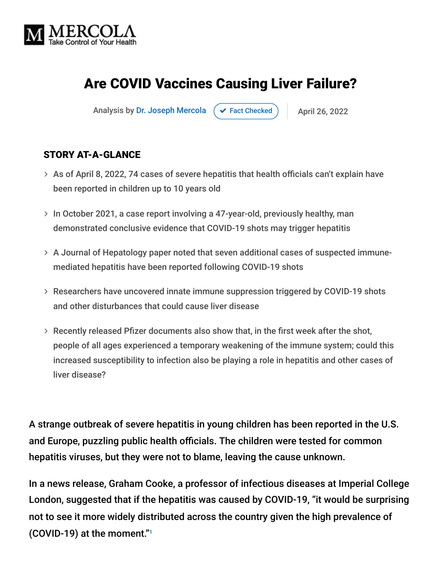

# Are COVID Vaccines Causing Liver Failure?

Analysis by [Dr. Joseph Mercola](https://www.mercola.com/forms/background.htm)  $\rightarrow$  [Fact Checked](javascript:void(0))  $\rightarrow$  April 26, 2022

#### STORY AT-A-GLANCE

- $>$  As of April 8, 2022, 74 cases of severe hepatitis that health officials can't explain have been reported in children up to 10 years old
- > In October 2021, a case report involving a 47-year-old, previously healthy, man demonstrated conclusive evidence that COVID-19 shots may trigger hepatitis
- A Journal of Hepatology paper noted that seven additional cases of suspected immune mediated hepatitis have been reported following COVID-19 shots
- Researchers have uncovered innate immune suppression triggered by COVID-19 shots and other disturbances that could cause liver disease
- $>$  Recently released Pfizer documents also show that, in the first week after the shot, people of all ages experienced a temporary weakening of the immune system; could this increased susceptibility to infection also be playing a role in hepatitis and other cases of liver disease?

A strange outbreak of severe hepatitis in young children has been reported in the U.S. and Europe, puzzling public health officials. The children were tested for common hepatitis viruses, but they were not to blame, leaving the cause unknown.

In a news release, Graham Cooke, a professor of infectious diseases at Imperial College London, suggested that if the hepatitis was caused by COVID-19, "it would be surprising not to see it more widely distributed across the country given the high prevalence of (COVID-19) at the moment." 1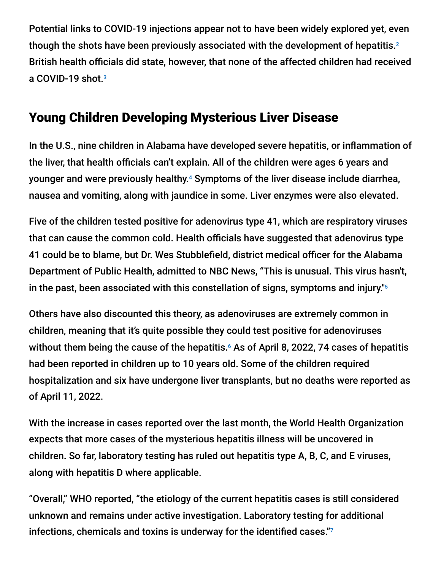Potential links to COVID-19 injections appear not to have been widely explored yet, even though the shots have been previously associated with the development of hepatitis. $^{\text{2}}$ British health officials did state, however, that none of the affected children had received a COVID-19 shot. 3

# Young Children Developing Mysterious Liver Disease

In the U.S., nine children in Alabama have developed severe hepatitis, or inflammation of the liver, that health officials can't explain. All of the children were ages 6 years and younger and were previously healthy.<sup>4</sup> Symptoms of the liver disease include diarrhea, nausea and vomiting, along with jaundice in some. Liver enzymes were also elevated.

Five of the children tested positive for adenovirus type 41, which are respiratory viruses that can cause the common cold. Health officials have suggested that adenovirus type 41 could be to blame, but Dr. Wes Stubblefield, district medical officer for the Alabama Department of Public Health, admitted to NBC News, "This is unusual. This virus hasn't, in the past, been associated with this constellation of signs, symptoms and injury." 5

Others have also discounted this theory, as adenoviruses are extremely common in children, meaning that it's quite possible they could test positive for adenoviruses without them being the cause of the hepatitis. $\epsilon$  As of April 8, 2022, 74 cases of hepatitis had been reported in children up to 10 years old. Some of the children required hospitalization and six have undergone liver transplants, but no deaths were reported as of April 11, 2022.

With the increase in cases reported over the last month, the World Health Organization expects that more cases of the mysterious hepatitis illness will be uncovered in children. So far, laboratory testing has ruled out hepatitis type A, B, C, and E viruses, along with hepatitis D where applicable.

"Overall," WHO reported, "the etiology of the current hepatitis cases is still considered unknown and remains under active investigation. Laboratory testing for additional infections, chemicals and toxins is underway for the identified cases." 7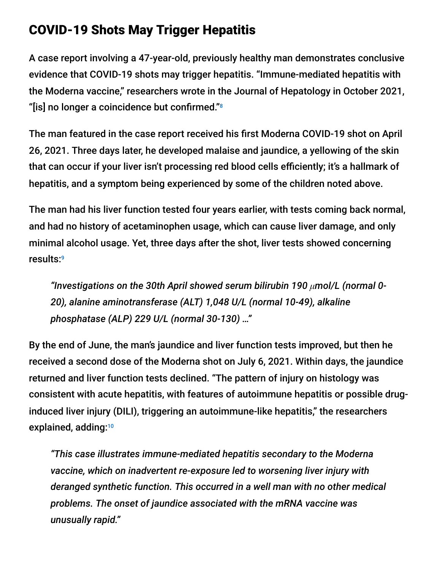## COVID-19 Shots May Trigger Hepatitis

A case report involving a 47-year-old, previously healthy man demonstrates conclusive evidence that COVID-19 shots may trigger hepatitis. "Immune-mediated hepatitis with the Moderna vaccine," researchers wrote in the Journal of Hepatology in October 2021, "[is] no longer a coincidence but confirmed." 8

The man featured in the case report received his first Moderna COVID-19 shot on April 26, 2021. Three days later, he developed malaise and jaundice, a yellowing of the skin that can occur if your liver isn't processing red blood cells efficiently; it's a hallmark of hepatitis, and a symptom being experienced by some of the children noted above.

The man had his liver function tested four years earlier, with tests coming back normal, and had no history of acetaminophen usage, which can cause liver damage, and only minimal alcohol usage. Yet, three days after the shot, liver tests showed concerning results: 9

*"Investigations on the 30th April showed serum bilirubin 190 μmol/L (normal 0- 20), alanine aminotransferase (ALT) 1,048 U/L (normal 10-49), alkaline phosphatase (ALP) 229 U/L (normal 30-130) …"*

By the end of June, the man's jaundice and liver function tests improved, but then he received a second dose of the Moderna shot on July 6, 2021. Within days, the jaundice returned and liver function tests declined. "The pattern of injury on histology was consistent with acute hepatitis, with features of autoimmune hepatitis or possible druginduced liver injury (DILI), triggering an autoimmune-like hepatitis," the researchers explained, adding: 10

*"This case illustrates immune-mediated hepatitis secondary to the Moderna vaccine, which on inadvertent re-exposure led to worsening liver injury with deranged synthetic function. This occurred in a well man with no other medical problems. The onset of jaundice associated with the mRNA vaccine was unusually rapid."*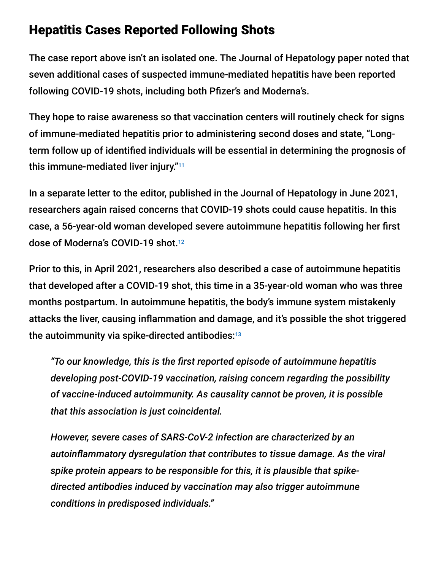### Hepatitis Cases Reported Following Shots

The case report above isn't an isolated one. The Journal of Hepatology paper noted that seven additional cases of suspected immune-mediated hepatitis have been reported following COVID-19 shots, including both Pfizer's and Moderna's.

They hope to raise awareness so that vaccination centers will routinely check for signs of immune-mediated hepatitis prior to administering second doses and state, "Longterm follow up of identified individuals will be essential in determining the prognosis of this immune-mediated liver injury." 11

In a separate letter to the editor, published in the Journal of Hepatology in June 2021, researchers again raised concerns that COVID-19 shots could cause hepatitis. In this case, a 56-year-old woman developed severe autoimmune hepatitis following her first dose of Moderna's COVID-19 shot. 12

Prior to this, in April 2021, researchers also described a case of autoimmune hepatitis that developed after a COVID-19 shot, this time in a 35-year-old woman who was three months postpartum. In autoimmune hepatitis, the body's immune system mistakenly attacks the liver, causing inflammation and damage, and it's possible the shot triggered the autoimmunity via spike-directed antibodies: $^{\scriptscriptstyle 13}$ 

*"To our knowledge, this is the first reported episode of autoimmune hepatitis developing post-COVID-19 vaccination, raising concern regarding the possibility of vaccine-induced autoimmunity. As causality cannot be proven, it is possible that this association is just coincidental.*

*However, severe cases of SARS-CoV-2 infection are characterized by an autoinflammatory dysregulation that contributes to tissue damage. As the viral spike protein appears to be responsible for this, it is plausible that spikedirected antibodies induced by vaccination may also trigger autoimmune conditions in predisposed individuals."*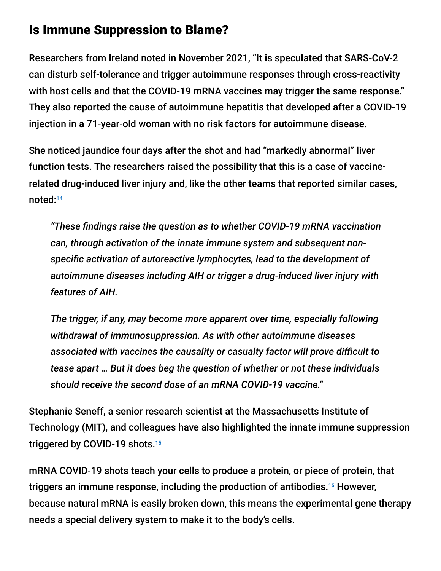### Is Immune Suppression to Blame?

Researchers from Ireland noted in November 2021, "It is speculated that SARS-CoV-2 can disturb self-tolerance and trigger autoimmune responses through cross-reactivity with host cells and that the COVID-19 mRNA vaccines may trigger the same response." They also reported the cause of autoimmune hepatitis that developed after a COVID-19 injection in a 71-year-old woman with no risk factors for autoimmune disease.

She noticed jaundice four days after the shot and had "markedly abnormal" liver function tests. The researchers raised the possibility that this is a case of vaccinerelated drug-induced liver injury and, like the other teams that reported similar cases, noted: 14

*"These findings raise the question as to whether COVID-19 mRNA vaccination can, through activation of the innate immune system and subsequent nonspecific activation of autoreactive lymphocytes, lead to the development of autoimmune diseases including AIH or trigger a drug-induced liver injury with features of AIH.*

*The trigger, if any, may become more apparent over time, especially following withdrawal of immunosuppression. As with other autoimmune diseases associated with vaccines the causality or casualty factor will prove difficult to tease apart … But it does beg the question of whether or not these individuals should receive the second dose of an mRNA COVID-19 vaccine."*

Stephanie Seneff, a senior research scientist at the Massachusetts Institute of Technology (MIT), and colleagues have also highlighted the innate immune suppression triggered by COVID-19 shots. 15

mRNA COVID-19 shots teach your cells to produce a protein, or piece of protein, that triggers an immune response, including the production of antibodies.<sup>16</sup> However, because natural mRNA is easily broken down, this means the experimental gene therapy needs a special delivery system to make it to the body's cells.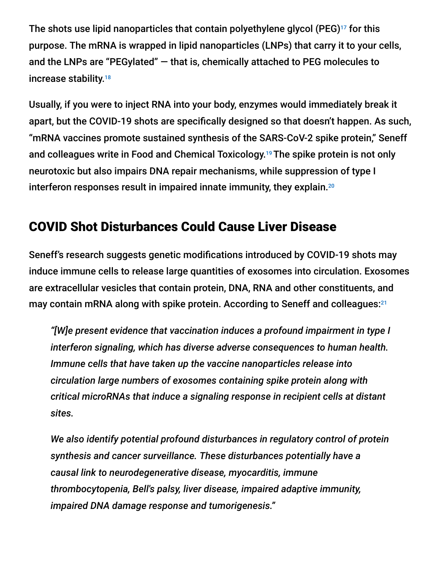The shots use lipid nanoparticles that contain polyethylene glycol (PEG) $^{17}$  for this purpose. The mRNA is wrapped in lipid nanoparticles (LNPs) that carry it to your cells, and the LNPs are "PEGylated" — that is, chemically attached to PEG molecules to increase stability. 18

Usually, if you were to inject RNA into your body, enzymes would immediately break it apart, but the COVID-19 shots are specifically designed so that doesn't happen. As such, "mRNA vaccines promote sustained synthesis of the SARS-CoV-2 spike protein," Seneff and colleagues write in Food and Chemical Toxicology.<sup>19</sup> The spike protein is not only neurotoxic but also impairs DNA repair mechanisms, while suppression of type I interferon responses result in impaired innate immunity, they explain. 20

# COVID Shot Disturbances Could Cause Liver Disease

Seneff's research suggests genetic modifications introduced by COVID-19 shots may induce immune cells to release large quantities of exosomes into circulation. Exosomes are extracellular vesicles that contain protein, DNA, RNA and other constituents, and may contain mRNA along with spike protein. According to Seneff and colleagues: 21

*"[W]e present evidence that vaccination induces a profound impairment in type I interferon signaling, which has diverse adverse consequences to human health. Immune cells that have taken up the vaccine nanoparticles release into circulation large numbers of exosomes containing spike protein along with critical microRNAs that induce a signaling response in recipient cells at distant sites.*

*We also identify potential profound disturbances in regulatory control of protein synthesis and cancer surveillance. These disturbances potentially have a causal link to neurodegenerative disease, myocarditis, immune thrombocytopenia, Bell's palsy, liver disease, impaired adaptive immunity, impaired DNA damage response and tumorigenesis."*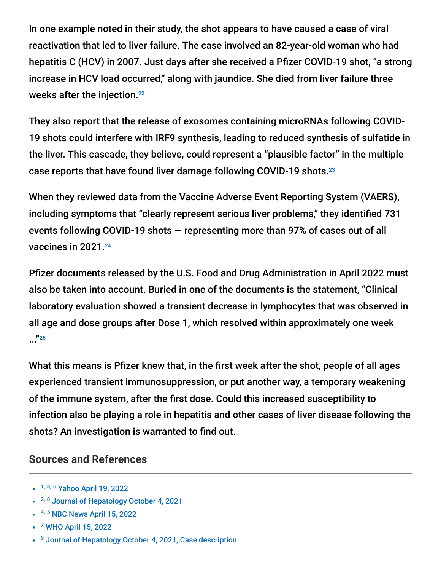In one example noted in their study, the shot appears to have caused a case of viral reactivation that led to liver failure. The case involved an 82-year-old woman who had hepatitis C (HCV) in 2007. Just days after she received a Pfizer COVID-19 shot, "a strong increase in HCV load occurred," along with jaundice. She died from liver failure three weeks after the injection. 22

They also report that the release of exosomes containing microRNAs following COVID-19 shots could interfere with IRF9 synthesis, leading to reduced synthesis of sulfatide in the liver. This cascade, they believe, could represent a "plausible factor" in the multiple case reports that have found liver damage following COVID-19 shots. 23

When they reviewed data from the Vaccine Adverse Event Reporting System (VAERS), including symptoms that "clearly represent serious liver problems," they identified 731 events following COVID-19 shots — representing more than 97% of cases out of all vaccines in 2021. 24

Pfizer documents released by the U.S. Food and Drug Administration in April 2022 must also be taken into account. Buried in one of the documents is the statement, "Clinical laboratory evaluation showed a transient decrease in lymphocytes that was observed in all age and dose groups after Dose 1, which resolved within approximately one week ..." 25

What this means is Pfizer knew that, in the first week after the shot, people of all ages experienced transient immunosuppression, or put another way, a temporary weakening of the immune system, after the first dose. Could this increased susceptibility to infection also be playing a role in hepatitis and other cases of liver disease following the shots? An investigation is warranted to find out.

#### **Sources and References**

- <sup>1, 3, 6</sup> [Yahoo April 19, 2022](https://www.yahoo.com/news/puzzling-outbreak-liver-disease-kids-101655342.html)
- <sup>2, 8</sup> [Journal of Hepatology October 4, 2021](https://www.journal-of-hepatology.eu/article/S0168-8278(21)02093-6/fulltext#sectitle0035)
- <sup>4, 5</sup> [NBC News April 15, 2022](https://www.nbcnews.com/health/health-news/severe-hepatitis-kids-dozens-cases-reported-us-europe-rcna24553)
- <sup>7</sup> [WHO April 15, 2022](https://www.who.int/emergencies/disease-outbreak-news/item/acute-hepatitis-of-unknown-aetiology---the-united-kingdom-of-great-britain-and-northern-ireland)
- <sup>9</sup> [Journal of Hepatology October 4, 2021, Case description](https://www.journal-of-hepatology.eu/article/S0168-8278(21)02093-6/fulltext#sectitle0035)